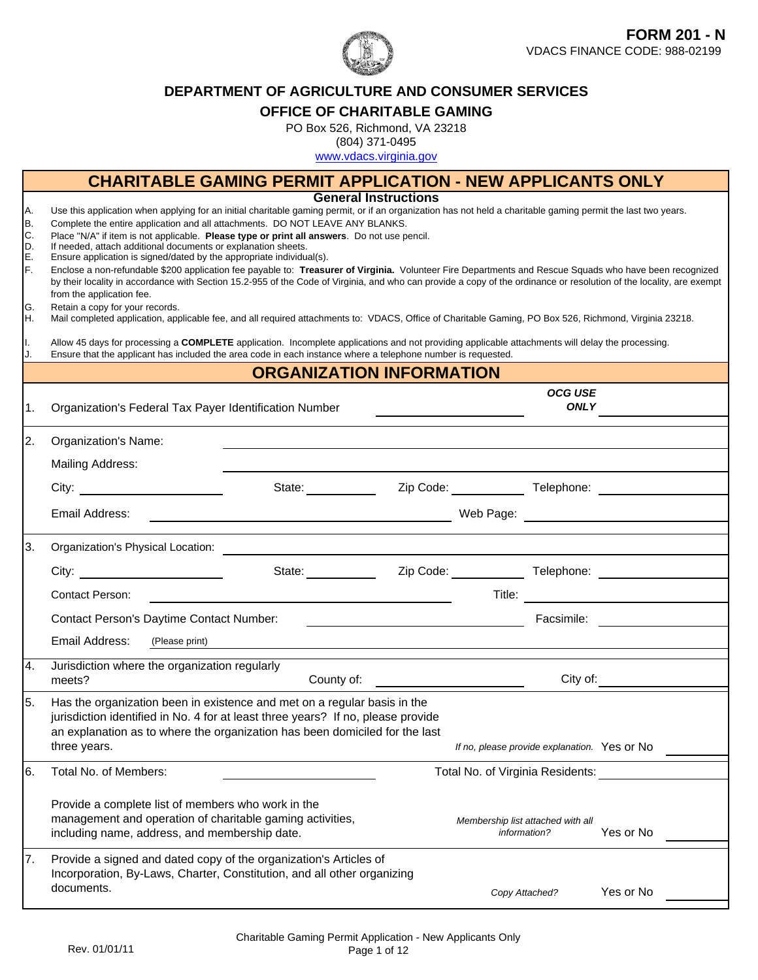

### **DEPARTMENT OF AGRICULTURE AND CONSUMER SERVICES**

#### **OFFICE OF CHARITABLE GAMING**

PO Box 526, Richmond, VA 23218

(804) 371-0495

www.vdacs.virginia.gov

|                                                       | <b>CHARITABLE GAMING PERMIT APPLICATION - NEW APPLICANTS ONLY</b>                                                                                                                                                                                                                                                                                                                                                                                                                                                                                                                                                                                                                                                                                                                                                                                                                                                                                                                                                                                                                                                                                                                                                                                                                                                       |                                                                                                                      |                                                   |                                                                                                                                                                                                                                |           |  |
|-------------------------------------------------------|-------------------------------------------------------------------------------------------------------------------------------------------------------------------------------------------------------------------------------------------------------------------------------------------------------------------------------------------------------------------------------------------------------------------------------------------------------------------------------------------------------------------------------------------------------------------------------------------------------------------------------------------------------------------------------------------------------------------------------------------------------------------------------------------------------------------------------------------------------------------------------------------------------------------------------------------------------------------------------------------------------------------------------------------------------------------------------------------------------------------------------------------------------------------------------------------------------------------------------------------------------------------------------------------------------------------------|----------------------------------------------------------------------------------------------------------------------|---------------------------------------------------|--------------------------------------------------------------------------------------------------------------------------------------------------------------------------------------------------------------------------------|-----------|--|
| IA.<br>B.<br>C.<br>D.<br>E.<br>F.<br>IG.<br>IH.<br>Ι. | Use this application when applying for an initial charitable gaming permit, or if an organization has not held a charitable gaming permit the last two years.<br>Complete the entire application and all attachments. DO NOT LEAVE ANY BLANKS.<br>Place "N/A" if item is not applicable. Please type or print all answers. Do not use pencil.<br>If needed, attach additional documents or explanation sheets.<br>Ensure application is signed/dated by the appropriate individual(s).<br>Enclose a non-refundable \$200 application fee payable to: Treasurer of Virginia. Volunteer Fire Departments and Rescue Squads who have been recognized<br>by their locality in accordance with Section 15.2-955 of the Code of Virginia, and who can provide a copy of the ordinance or resolution of the locality, are exempt<br>from the application fee.<br>Retain a copy for your records.<br>Mail completed application, applicable fee, and all required attachments to: VDACS, Office of Charitable Gaming, PO Box 526, Richmond, Virginia 23218.<br>Allow 45 days for processing a COMPLETE application. Incomplete applications and not providing applicable attachments will delay the processing.<br>Ensure that the applicant has included the area code in each instance where a telephone number is requested. | <b>General Instructions</b>                                                                                          |                                                   |                                                                                                                                                                                                                                |           |  |
|                                                       |                                                                                                                                                                                                                                                                                                                                                                                                                                                                                                                                                                                                                                                                                                                                                                                                                                                                                                                                                                                                                                                                                                                                                                                                                                                                                                                         | <b>ORGANIZATION INFORMATION</b>                                                                                      |                                                   |                                                                                                                                                                                                                                |           |  |
| 1.                                                    | Organization's Federal Tax Payer Identification Number                                                                                                                                                                                                                                                                                                                                                                                                                                                                                                                                                                                                                                                                                                                                                                                                                                                                                                                                                                                                                                                                                                                                                                                                                                                                  |                                                                                                                      |                                                   | <b>OCG USE</b><br><b>ONLY</b>                                                                                                                                                                                                  |           |  |
| 2.                                                    | Organization's Name:                                                                                                                                                                                                                                                                                                                                                                                                                                                                                                                                                                                                                                                                                                                                                                                                                                                                                                                                                                                                                                                                                                                                                                                                                                                                                                    |                                                                                                                      |                                                   |                                                                                                                                                                                                                                |           |  |
|                                                       | <b>Mailing Address:</b>                                                                                                                                                                                                                                                                                                                                                                                                                                                                                                                                                                                                                                                                                                                                                                                                                                                                                                                                                                                                                                                                                                                                                                                                                                                                                                 |                                                                                                                      |                                                   |                                                                                                                                                                                                                                |           |  |
|                                                       | City: the contract of the contract of the contract of the contract of the contract of the contract of the contract of the contract of the contract of the contract of the contract of the contract of the contract of the cont                                                                                                                                                                                                                                                                                                                                                                                                                                                                                                                                                                                                                                                                                                                                                                                                                                                                                                                                                                                                                                                                                          | State: Zip Code: Telephone: Canadian Code: Zip Code:                                                                 |                                                   |                                                                                                                                                                                                                                |           |  |
|                                                       | Email Address:                                                                                                                                                                                                                                                                                                                                                                                                                                                                                                                                                                                                                                                                                                                                                                                                                                                                                                                                                                                                                                                                                                                                                                                                                                                                                                          |                                                                                                                      |                                                   |                                                                                                                                                                                                                                |           |  |
| 3.                                                    |                                                                                                                                                                                                                                                                                                                                                                                                                                                                                                                                                                                                                                                                                                                                                                                                                                                                                                                                                                                                                                                                                                                                                                                                                                                                                                                         |                                                                                                                      |                                                   |                                                                                                                                                                                                                                |           |  |
|                                                       | City: $\qquad \qquad \qquad$                                                                                                                                                                                                                                                                                                                                                                                                                                                                                                                                                                                                                                                                                                                                                                                                                                                                                                                                                                                                                                                                                                                                                                                                                                                                                            | State: _____________                                                                                                 |                                                   |                                                                                                                                                                                                                                |           |  |
|                                                       | Contact Person:                                                                                                                                                                                                                                                                                                                                                                                                                                                                                                                                                                                                                                                                                                                                                                                                                                                                                                                                                                                                                                                                                                                                                                                                                                                                                                         |                                                                                                                      |                                                   | Title: Title: Title: The Communication of the Communication of the Communication of the Communication of the Communication of the Communication of the Communication of the Communication of the Communication of the Communic |           |  |
|                                                       | Contact Person's Daytime Contact Number:                                                                                                                                                                                                                                                                                                                                                                                                                                                                                                                                                                                                                                                                                                                                                                                                                                                                                                                                                                                                                                                                                                                                                                                                                                                                                | <u> 1980 - Jan Barnett, fransk politik (d. 1980)</u>                                                                 |                                                   | Facsimile: <u>________</u> _____                                                                                                                                                                                               |           |  |
|                                                       | Email Address:<br>(Please print)                                                                                                                                                                                                                                                                                                                                                                                                                                                                                                                                                                                                                                                                                                                                                                                                                                                                                                                                                                                                                                                                                                                                                                                                                                                                                        | <u> 1980 - Jan Stein Stein Stein Stein Stein Stein Stein Stein Stein Stein Stein Stein Stein Stein Stein Stein S</u> |                                                   |                                                                                                                                                                                                                                |           |  |
| Ι4.                                                   | Jurisdiction where the organization regularly<br>meets?                                                                                                                                                                                                                                                                                                                                                                                                                                                                                                                                                                                                                                                                                                                                                                                                                                                                                                                                                                                                                                                                                                                                                                                                                                                                 | County of:                                                                                                           |                                                   |                                                                                                                                                                                                                                | City of:  |  |
| 5.                                                    | Has the organization been in existence and met on a regular basis in the<br>jurisdiction identified in No. 4 for at least three years? If no, please provide<br>an explanation as to where the organization has been domiciled for the last<br>three years.                                                                                                                                                                                                                                                                                                                                                                                                                                                                                                                                                                                                                                                                                                                                                                                                                                                                                                                                                                                                                                                             |                                                                                                                      | If no, please provide explanation. Yes or No      |                                                                                                                                                                                                                                |           |  |
| 16.                                                   | Total No. of Members:                                                                                                                                                                                                                                                                                                                                                                                                                                                                                                                                                                                                                                                                                                                                                                                                                                                                                                                                                                                                                                                                                                                                                                                                                                                                                                   |                                                                                                                      | Total No. of Virginia Residents:                  |                                                                                                                                                                                                                                |           |  |
|                                                       | Provide a complete list of members who work in the<br>management and operation of charitable gaming activities,<br>including name, address, and membership date.                                                                                                                                                                                                                                                                                                                                                                                                                                                                                                                                                                                                                                                                                                                                                                                                                                                                                                                                                                                                                                                                                                                                                        |                                                                                                                      | Membership list attached with all<br>information? |                                                                                                                                                                                                                                | Yes or No |  |
| 7.                                                    | Provide a signed and dated copy of the organization's Articles of<br>Incorporation, By-Laws, Charter, Constitution, and all other organizing<br>documents.                                                                                                                                                                                                                                                                                                                                                                                                                                                                                                                                                                                                                                                                                                                                                                                                                                                                                                                                                                                                                                                                                                                                                              |                                                                                                                      | Copy Attached?                                    |                                                                                                                                                                                                                                | Yes or No |  |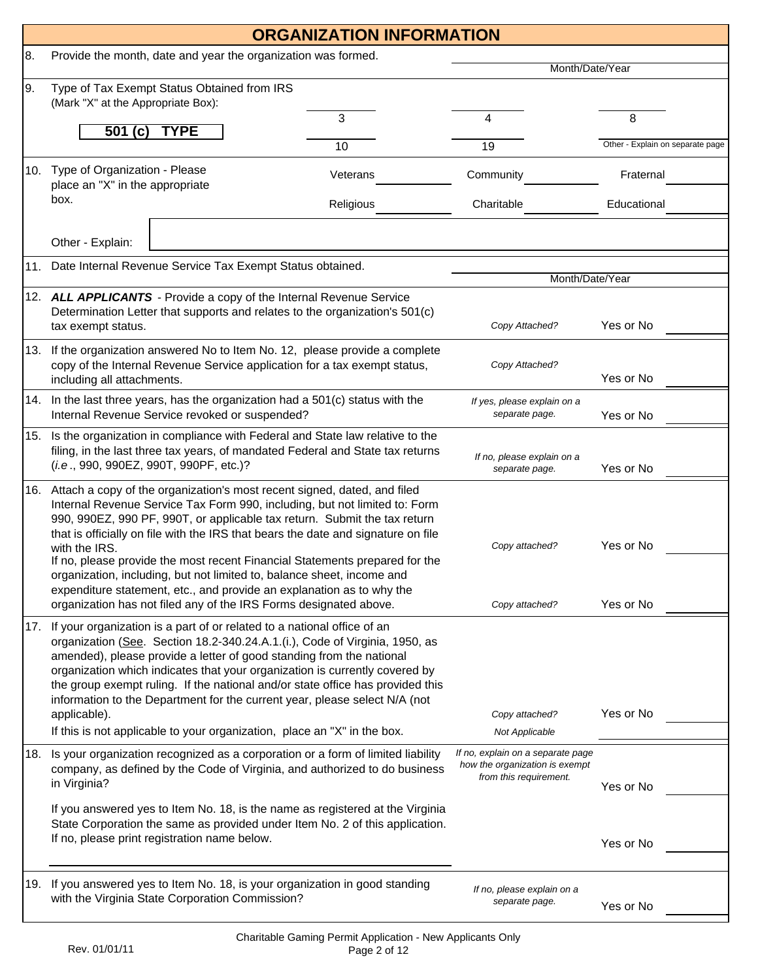|     | <b>ORGANIZATION INFORMATION</b>                                                                                                                                                                                                                                                                                                                                                                                                                                                                                                                                                                                                                      |           |                                                                                               |                                  |  |  |  |
|-----|------------------------------------------------------------------------------------------------------------------------------------------------------------------------------------------------------------------------------------------------------------------------------------------------------------------------------------------------------------------------------------------------------------------------------------------------------------------------------------------------------------------------------------------------------------------------------------------------------------------------------------------------------|-----------|-----------------------------------------------------------------------------------------------|----------------------------------|--|--|--|
| 8.  | Provide the month, date and year the organization was formed.                                                                                                                                                                                                                                                                                                                                                                                                                                                                                                                                                                                        |           |                                                                                               |                                  |  |  |  |
| 9.  | Type of Tax Exempt Status Obtained from IRS<br>(Mark "X" at the Appropriate Box):                                                                                                                                                                                                                                                                                                                                                                                                                                                                                                                                                                    |           | Month/Date/Year                                                                               |                                  |  |  |  |
|     |                                                                                                                                                                                                                                                                                                                                                                                                                                                                                                                                                                                                                                                      | 3         | 4                                                                                             | 8                                |  |  |  |
|     | <b>TYPE</b><br>501 $(c)$                                                                                                                                                                                                                                                                                                                                                                                                                                                                                                                                                                                                                             | 10        | 19                                                                                            | Other - Explain on separate page |  |  |  |
|     | 10. Type of Organization - Please<br>place an "X" in the appropriate                                                                                                                                                                                                                                                                                                                                                                                                                                                                                                                                                                                 | Veterans  | Community                                                                                     | Fraternal                        |  |  |  |
|     | box.                                                                                                                                                                                                                                                                                                                                                                                                                                                                                                                                                                                                                                                 | Religious | Charitable                                                                                    | Educational                      |  |  |  |
|     | Other - Explain:                                                                                                                                                                                                                                                                                                                                                                                                                                                                                                                                                                                                                                     |           |                                                                                               |                                  |  |  |  |
| 11. | Date Internal Revenue Service Tax Exempt Status obtained.                                                                                                                                                                                                                                                                                                                                                                                                                                                                                                                                                                                            |           | Month/Date/Year                                                                               |                                  |  |  |  |
|     | 12. ALL APPLICANTS - Provide a copy of the Internal Revenue Service<br>Determination Letter that supports and relates to the organization's 501(c)<br>tax exempt status.                                                                                                                                                                                                                                                                                                                                                                                                                                                                             |           | Copy Attached?                                                                                | Yes or No                        |  |  |  |
|     | 13. If the organization answered No to Item No. 12, please provide a complete<br>copy of the Internal Revenue Service application for a tax exempt status,<br>including all attachments.                                                                                                                                                                                                                                                                                                                                                                                                                                                             |           | Copy Attached?                                                                                | Yes or No                        |  |  |  |
|     | 14. In the last three years, has the organization had a 501(c) status with the<br>Internal Revenue Service revoked or suspended?                                                                                                                                                                                                                                                                                                                                                                                                                                                                                                                     |           | If yes, please explain on a<br>separate page.                                                 | Yes or No                        |  |  |  |
|     | 15. Is the organization in compliance with Federal and State law relative to the<br>filing, in the last three tax years, of mandated Federal and State tax returns<br>(i.e., 990, 990EZ, 990T, 990PF, etc.)?                                                                                                                                                                                                                                                                                                                                                                                                                                         |           | If no, please explain on a<br>separate page.                                                  | Yes or No                        |  |  |  |
|     | 16. Attach a copy of the organization's most recent signed, dated, and filed<br>Internal Revenue Service Tax Form 990, including, but not limited to: Form<br>990, 990EZ, 990 PF, 990T, or applicable tax return. Submit the tax return<br>that is officially on file with the IRS that bears the date and signature on file<br>with the IRS.<br>If no, please provide the most recent Financial Statements prepared for the<br>organization, including, but not limited to, balance sheet, income and<br>expenditure statement, etc., and provide an explanation as to why the<br>organization has not filed any of the IRS Forms designated above. |           | Copy attached?<br>Copy attached?                                                              | Yes or No<br>Yes or No           |  |  |  |
|     | 17. If your organization is a part of or related to a national office of an<br>organization (See. Section 18.2-340.24.A.1.(i.), Code of Virginia, 1950, as<br>amended), please provide a letter of good standing from the national<br>organization which indicates that your organization is currently covered by<br>the group exempt ruling. If the national and/or state office has provided this<br>information to the Department for the current year, please select N/A (not<br>applicable).<br>If this is not applicable to your organization, place an "X" in the box.                                                                        |           | Copy attached?<br>Not Applicable                                                              | Yes or No                        |  |  |  |
| 18. | Is your organization recognized as a corporation or a form of limited liability<br>company, as defined by the Code of Virginia, and authorized to do business<br>in Virginia?                                                                                                                                                                                                                                                                                                                                                                                                                                                                        |           | If no, explain on a separate page<br>how the organization is exempt<br>from this requirement. | Yes or No                        |  |  |  |
|     | If you answered yes to Item No. 18, is the name as registered at the Virginia<br>State Corporation the same as provided under Item No. 2 of this application.<br>If no, please print registration name below.                                                                                                                                                                                                                                                                                                                                                                                                                                        |           |                                                                                               | Yes or No                        |  |  |  |
|     | 19. If you answered yes to Item No. 18, is your organization in good standing<br>with the Virginia State Corporation Commission?                                                                                                                                                                                                                                                                                                                                                                                                                                                                                                                     |           | If no, please explain on a<br>separate page.                                                  | Yes or No                        |  |  |  |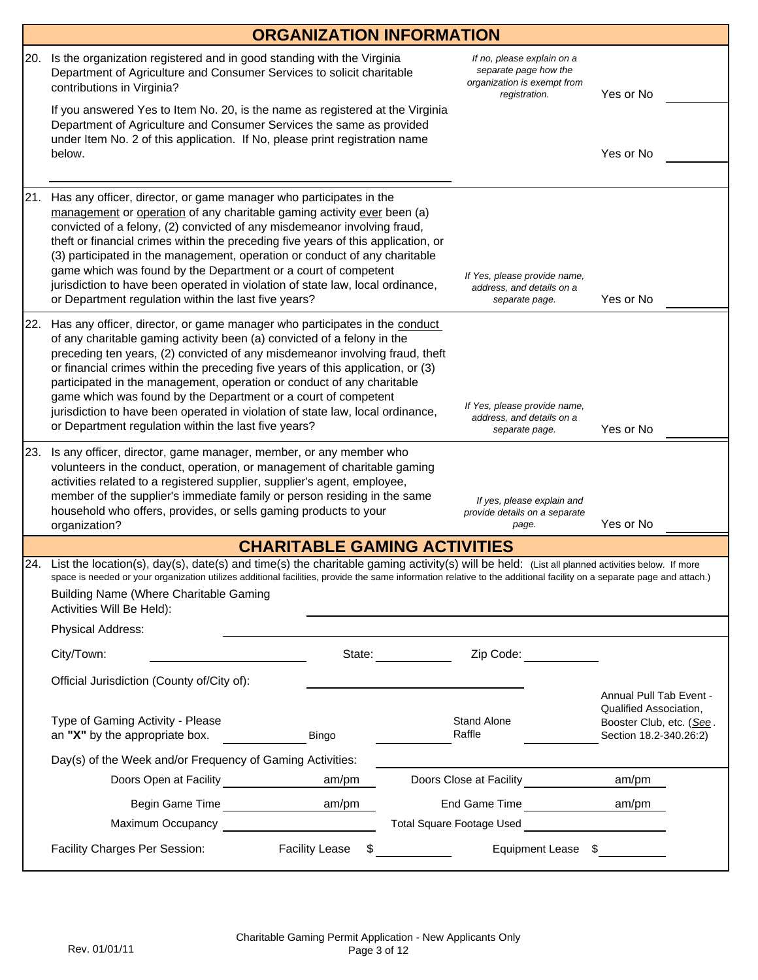|     |                                                                                                                                                                                                                                                                                                                                                                                                                                                                                                                                                                                                                | <b>ORGANIZATION INFORMATION</b>     |                                 |                                                                                                     |                                                                              |
|-----|----------------------------------------------------------------------------------------------------------------------------------------------------------------------------------------------------------------------------------------------------------------------------------------------------------------------------------------------------------------------------------------------------------------------------------------------------------------------------------------------------------------------------------------------------------------------------------------------------------------|-------------------------------------|---------------------------------|-----------------------------------------------------------------------------------------------------|------------------------------------------------------------------------------|
| 20. | Is the organization registered and in good standing with the Virginia<br>Department of Agriculture and Consumer Services to solicit charitable<br>contributions in Virginia?                                                                                                                                                                                                                                                                                                                                                                                                                                   |                                     |                                 | If no, please explain on a<br>separate page how the<br>organization is exempt from<br>registration. | Yes or No                                                                    |
|     | If you answered Yes to Item No. 20, is the name as registered at the Virginia<br>Department of Agriculture and Consumer Services the same as provided<br>under Item No. 2 of this application. If No, please print registration name                                                                                                                                                                                                                                                                                                                                                                           |                                     |                                 |                                                                                                     |                                                                              |
|     | below.                                                                                                                                                                                                                                                                                                                                                                                                                                                                                                                                                                                                         |                                     |                                 |                                                                                                     | Yes or No                                                                    |
| 21. | Has any officer, director, or game manager who participates in the<br>management or operation of any charitable gaming activity ever been (a)<br>convicted of a felony, (2) convicted of any misdemeanor involving fraud,<br>theft or financial crimes within the preceding five years of this application, or<br>(3) participated in the management, operation or conduct of any charitable<br>game which was found by the Department or a court of competent<br>jurisdiction to have been operated in violation of state law, local ordinance,<br>or Department regulation within the last five years?       | Yes or No                           |                                 |                                                                                                     |                                                                              |
| 22. | Has any officer, director, or game manager who participates in the conduct<br>of any charitable gaming activity been (a) convicted of a felony in the<br>preceding ten years, (2) convicted of any misdemeanor involving fraud, theft<br>or financial crimes within the preceding five years of this application, or (3)<br>participated in the management, operation or conduct of any charitable<br>game which was found by the Department or a court of competent<br>jurisdiction to have been operated in violation of state law, local ordinance,<br>or Department regulation within the last five years? |                                     |                                 | If Yes, please provide name,<br>address, and details on a<br>separate page.                         | Yes or No                                                                    |
| 23. | Is any officer, director, game manager, member, or any member who<br>volunteers in the conduct, operation, or management of charitable gaming<br>activities related to a registered supplier, supplier's agent, employee,<br>member of the supplier's immediate family or person residing in the same<br>household who offers, provides, or sells gaming products to your<br>organization?                                                                                                                                                                                                                     |                                     |                                 | If yes, please explain and<br>provide details on a separate<br>page.                                | Yes or No                                                                    |
|     |                                                                                                                                                                                                                                                                                                                                                                                                                                                                                                                                                                                                                | <b>CHARITABLE GAMING ACTIVITIES</b> |                                 |                                                                                                     |                                                                              |
|     | 24. List the location(s), day(s), date(s) and time(s) the charitable gaming activity(s) will be held: (List all planned activities below. If more<br>space is needed or your organization utilizes additional facilities, provide the same information relative to the additional facility on a separate page and attach.)<br><b>Building Name (Where Charitable Gaming</b><br>Activities Will Be Held):                                                                                                                                                                                                       |                                     |                                 |                                                                                                     |                                                                              |
|     | Physical Address:                                                                                                                                                                                                                                                                                                                                                                                                                                                                                                                                                                                              |                                     |                                 |                                                                                                     |                                                                              |
|     | City/Town:                                                                                                                                                                                                                                                                                                                                                                                                                                                                                                                                                                                                     |                                     | State: <u>www.community.com</u> | Zip Code: ____________                                                                              |                                                                              |
|     | Official Jurisdiction (County of/City of):                                                                                                                                                                                                                                                                                                                                                                                                                                                                                                                                                                     |                                     |                                 |                                                                                                     | Annual Pull Tab Event -                                                      |
|     | Type of Gaming Activity - Please<br>an "X" by the appropriate box.                                                                                                                                                                                                                                                                                                                                                                                                                                                                                                                                             | Bingo                               |                                 | <b>Stand Alone</b><br>Raffle                                                                        | Qualified Association.<br>Booster Club, etc. (See.<br>Section 18.2-340.26:2) |
|     | Day(s) of the Week and/or Frequency of Gaming Activities:                                                                                                                                                                                                                                                                                                                                                                                                                                                                                                                                                      |                                     |                                 |                                                                                                     |                                                                              |
|     | Doors Open at Facility <b>Doors</b> Open at Facility                                                                                                                                                                                                                                                                                                                                                                                                                                                                                                                                                           | am/pm                               |                                 | Doors Close at Facility <b>Example 1</b> am/pm                                                      |                                                                              |
|     |                                                                                                                                                                                                                                                                                                                                                                                                                                                                                                                                                                                                                |                                     |                                 |                                                                                                     |                                                                              |
|     | Maximum Occupancy <b>Maximum Occupancy</b>                                                                                                                                                                                                                                                                                                                                                                                                                                                                                                                                                                     |                                     |                                 |                                                                                                     |                                                                              |
|     | Facility Charges Per Session:                                                                                                                                                                                                                                                                                                                                                                                                                                                                                                                                                                                  | <b>Facility Lease</b>               | $\sim$                          | Equipment Lease \$                                                                                  |                                                                              |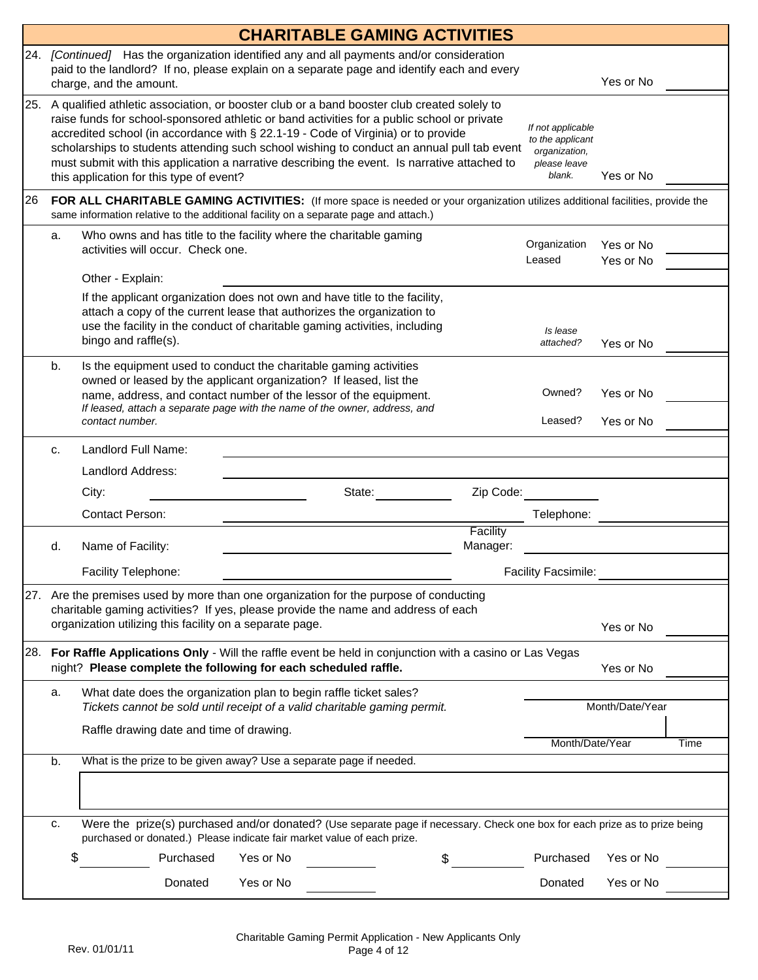|     |                                                                                                                                                                                                                                                                                                                                                                                                                                                                                                                                                                                                              |                                                                                                                                                                                                                                                                                                               | <b>CHARITABLE GAMING ACTIVITIES</b> |        |                      |                            |                        |      |
|-----|--------------------------------------------------------------------------------------------------------------------------------------------------------------------------------------------------------------------------------------------------------------------------------------------------------------------------------------------------------------------------------------------------------------------------------------------------------------------------------------------------------------------------------------------------------------------------------------------------------------|---------------------------------------------------------------------------------------------------------------------------------------------------------------------------------------------------------------------------------------------------------------------------------------------------------------|-------------------------------------|--------|----------------------|----------------------------|------------------------|------|
|     |                                                                                                                                                                                                                                                                                                                                                                                                                                                                                                                                                                                                              | 24. [Continued] Has the organization identified any and all payments and/or consideration<br>paid to the landlord? If no, please explain on a separate page and identify each and every<br>charge, and the amount.                                                                                            |                                     |        |                      |                            | Yes or No              |      |
| 25. | A qualified athletic association, or booster club or a band booster club created solely to<br>raise funds for school-sponsored athletic or band activities for a public school or private<br>If not applicable<br>accredited school (in accordance with § 22.1-19 - Code of Virginia) or to provide<br>to the applicant<br>scholarships to students attending such school wishing to conduct an annual pull tab event<br>organization,<br>must submit with this application a narrative describing the event. Is narrative attached to<br>please leave<br>blank.<br>this application for this type of event? |                                                                                                                                                                                                                                                                                                               |                                     |        |                      |                            | Yes or No              |      |
| 26  |                                                                                                                                                                                                                                                                                                                                                                                                                                                                                                                                                                                                              | FOR ALL CHARITABLE GAMING ACTIVITIES: (If more space is needed or your organization utilizes additional facilities, provide the<br>same information relative to the additional facility on a separate page and attach.)                                                                                       |                                     |        |                      |                            |                        |      |
|     | а.                                                                                                                                                                                                                                                                                                                                                                                                                                                                                                                                                                                                           | Who owns and has title to the facility where the charitable gaming<br>activities will occur. Check one.<br>Other - Explain:                                                                                                                                                                                   |                                     |        |                      | Organization<br>Leased     | Yes or No<br>Yes or No |      |
|     |                                                                                                                                                                                                                                                                                                                                                                                                                                                                                                                                                                                                              | If the applicant organization does not own and have title to the facility,<br>attach a copy of the current lease that authorizes the organization to<br>use the facility in the conduct of charitable gaming activities, including<br>bingo and raffle(s).                                                    |                                     |        |                      | Is lease<br>attached?      | Yes or No              |      |
|     | b.                                                                                                                                                                                                                                                                                                                                                                                                                                                                                                                                                                                                           | Is the equipment used to conduct the charitable gaming activities<br>owned or leased by the applicant organization? If leased, list the<br>name, address, and contact number of the lessor of the equipment.<br>If leased, attach a separate page with the name of the owner, address, and<br>contact number. |                                     |        |                      | Owned?<br>Leased?          | Yes or No<br>Yes or No |      |
|     | c.                                                                                                                                                                                                                                                                                                                                                                                                                                                                                                                                                                                                           | Landlord Full Name:                                                                                                                                                                                                                                                                                           |                                     |        |                      |                            |                        |      |
|     |                                                                                                                                                                                                                                                                                                                                                                                                                                                                                                                                                                                                              | Landlord Address:                                                                                                                                                                                                                                                                                             |                                     |        |                      |                            |                        |      |
|     |                                                                                                                                                                                                                                                                                                                                                                                                                                                                                                                                                                                                              | City:                                                                                                                                                                                                                                                                                                         |                                     | State: | Zip Code:            |                            |                        |      |
|     |                                                                                                                                                                                                                                                                                                                                                                                                                                                                                                                                                                                                              | <b>Contact Person:</b>                                                                                                                                                                                                                                                                                        |                                     |        |                      | Telephone:                 |                        |      |
|     | d.                                                                                                                                                                                                                                                                                                                                                                                                                                                                                                                                                                                                           | Name of Facility:                                                                                                                                                                                                                                                                                             |                                     |        | Facility<br>Manager: |                            |                        |      |
|     |                                                                                                                                                                                                                                                                                                                                                                                                                                                                                                                                                                                                              | Facility Telephone:                                                                                                                                                                                                                                                                                           |                                     |        |                      | <b>Facility Facsimile:</b> |                        |      |
|     |                                                                                                                                                                                                                                                                                                                                                                                                                                                                                                                                                                                                              | 27. Are the premises used by more than one organization for the purpose of conducting<br>charitable gaming activities? If yes, please provide the name and address of each<br>organization utilizing this facility on a separate page.                                                                        |                                     |        |                      |                            | Yes or No              |      |
|     |                                                                                                                                                                                                                                                                                                                                                                                                                                                                                                                                                                                                              | 28. For Raffle Applications Only - Will the raffle event be held in conjunction with a casino or Las Vegas<br>night? Please complete the following for each scheduled raffle.                                                                                                                                 |                                     |        |                      |                            | Yes or No              |      |
|     | a.                                                                                                                                                                                                                                                                                                                                                                                                                                                                                                                                                                                                           | What date does the organization plan to begin raffle ticket sales?<br>Tickets cannot be sold until receipt of a valid charitable gaming permit.                                                                                                                                                               |                                     |        |                      |                            | Month/Date/Year        |      |
|     |                                                                                                                                                                                                                                                                                                                                                                                                                                                                                                                                                                                                              | Raffle drawing date and time of drawing.                                                                                                                                                                                                                                                                      |                                     |        |                      | Month/Date/Year            |                        | Time |
|     | What is the prize to be given away? Use a separate page if needed.<br>b.                                                                                                                                                                                                                                                                                                                                                                                                                                                                                                                                     |                                                                                                                                                                                                                                                                                                               |                                     |        |                      |                            |                        |      |
|     |                                                                                                                                                                                                                                                                                                                                                                                                                                                                                                                                                                                                              |                                                                                                                                                                                                                                                                                                               |                                     |        |                      |                            |                        |      |
|     | c.                                                                                                                                                                                                                                                                                                                                                                                                                                                                                                                                                                                                           | Were the prize(s) purchased and/or donated? (Use separate page if necessary. Check one box for each prize as to prize being<br>purchased or donated.) Please indicate fair market value of each prize.                                                                                                        |                                     |        |                      |                            |                        |      |
|     | \$                                                                                                                                                                                                                                                                                                                                                                                                                                                                                                                                                                                                           | Purchased                                                                                                                                                                                                                                                                                                     | Yes or No                           |        |                      | Purchased                  | Yes or No              |      |
|     |                                                                                                                                                                                                                                                                                                                                                                                                                                                                                                                                                                                                              | Donated                                                                                                                                                                                                                                                                                                       | Yes or No                           |        |                      | Donated                    | Yes or No              |      |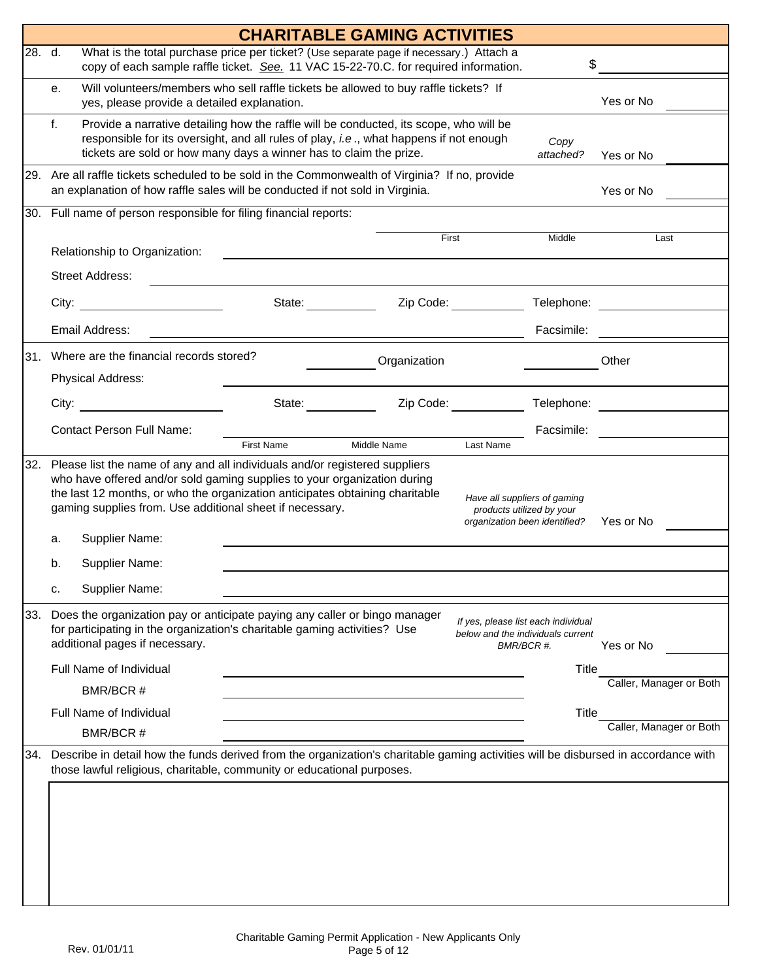|        |                                                                                                                                                                                                                                                                                                     |                       | <b>CHARITABLE GAMING ACTIVITIES</b> |                                                                                            |                                                                          |                         |  |
|--------|-----------------------------------------------------------------------------------------------------------------------------------------------------------------------------------------------------------------------------------------------------------------------------------------------------|-----------------------|-------------------------------------|--------------------------------------------------------------------------------------------|--------------------------------------------------------------------------|-------------------------|--|
| 28. d. | What is the total purchase price per ticket? (Use separate page if necessary.) Attach a<br>\$<br>copy of each sample raffle ticket. See. 11 VAC 15-22-70.C. for required information.                                                                                                               |                       |                                     |                                                                                            |                                                                          |                         |  |
|        | Will volunteers/members who sell raffle tickets be allowed to buy raffle tickets? If<br>е.<br>yes, please provide a detailed explanation.                                                                                                                                                           |                       |                                     |                                                                                            |                                                                          | Yes or No               |  |
|        | f.<br>Provide a narrative detailing how the raffle will be conducted, its scope, who will be<br>responsible for its oversight, and all rules of play, i.e., what happens if not enough<br>tickets are sold or how many days a winner has to claim the prize.                                        |                       |                                     |                                                                                            | Copy<br>attached?                                                        | Yes or No               |  |
|        | 29. Are all raffle tickets scheduled to be sold in the Commonwealth of Virginia? If no, provide<br>an explanation of how raffle sales will be conducted if not sold in Virginia.                                                                                                                    | Yes or No             |                                     |                                                                                            |                                                                          |                         |  |
|        | 30. Full name of person responsible for filing financial reports:                                                                                                                                                                                                                                   |                       |                                     |                                                                                            |                                                                          |                         |  |
|        | Relationship to Organization:                                                                                                                                                                                                                                                                       |                       | First                               |                                                                                            | Middle                                                                   | Last                    |  |
|        | <b>Street Address:</b>                                                                                                                                                                                                                                                                              |                       |                                     |                                                                                            |                                                                          |                         |  |
|        | City:                                                                                                                                                                                                                                                                                               | State: <b>Example</b> | Zip Code:                           |                                                                                            | Telephone:                                                               |                         |  |
|        | Email Address:                                                                                                                                                                                                                                                                                      |                       |                                     |                                                                                            | Facsimile:                                                               |                         |  |
| 31.    | Where are the financial records stored?                                                                                                                                                                                                                                                             |                       | Organization                        |                                                                                            |                                                                          | Other                   |  |
|        | Physical Address:                                                                                                                                                                                                                                                                                   |                       |                                     |                                                                                            |                                                                          |                         |  |
|        | City: the contract of the contract of the contract of the contract of the contract of the contract of the contract of the contract of the contract of the contract of the contract of the contract of the contract of the cont                                                                      | State: <b>Example</b> | Zip Code:                           |                                                                                            | Telephone:                                                               |                         |  |
|        | <b>Contact Person Full Name:</b>                                                                                                                                                                                                                                                                    | <b>First Name</b>     | Middle Name                         | Last Name                                                                                  | Facsimile:                                                               |                         |  |
| 32.    | Please list the name of any and all individuals and/or registered suppliers<br>who have offered and/or sold gaming supplies to your organization during<br>the last 12 months, or who the organization anticipates obtaining charitable<br>gaming supplies from. Use additional sheet if necessary. |                       |                                     | Have all suppliers of gaming<br>products utilized by your<br>organization been identified? |                                                                          | Yes or No               |  |
|        | Supplier Name:<br>a.                                                                                                                                                                                                                                                                                |                       |                                     |                                                                                            |                                                                          |                         |  |
|        | Supplier Name:<br>b.                                                                                                                                                                                                                                                                                |                       |                                     |                                                                                            |                                                                          |                         |  |
|        | Supplier Name:<br>c.                                                                                                                                                                                                                                                                                |                       |                                     |                                                                                            |                                                                          |                         |  |
| 33.    | Does the organization pay or anticipate paying any caller or bingo manager<br>for participating in the organization's charitable gaming activities? Use<br>additional pages if necessary.                                                                                                           |                       |                                     | BMR/BCR #.                                                                                 | If yes, please list each individual<br>below and the individuals current | Yes or No               |  |
|        | Full Name of Individual                                                                                                                                                                                                                                                                             |                       |                                     |                                                                                            | <b>Title</b>                                                             |                         |  |
|        | BMR/BCR #                                                                                                                                                                                                                                                                                           |                       |                                     |                                                                                            |                                                                          | Caller, Manager or Both |  |
|        | Full Name of Individual                                                                                                                                                                                                                                                                             |                       |                                     |                                                                                            | Title                                                                    | Caller, Manager or Both |  |
| 34.    | BMR/BCR #<br>Describe in detail how the funds derived from the organization's charitable gaming activities will be disbursed in accordance with                                                                                                                                                     |                       |                                     |                                                                                            |                                                                          |                         |  |
|        | those lawful religious, charitable, community or educational purposes.                                                                                                                                                                                                                              |                       |                                     |                                                                                            |                                                                          |                         |  |
|        |                                                                                                                                                                                                                                                                                                     |                       |                                     |                                                                                            |                                                                          |                         |  |
|        |                                                                                                                                                                                                                                                                                                     |                       |                                     |                                                                                            |                                                                          |                         |  |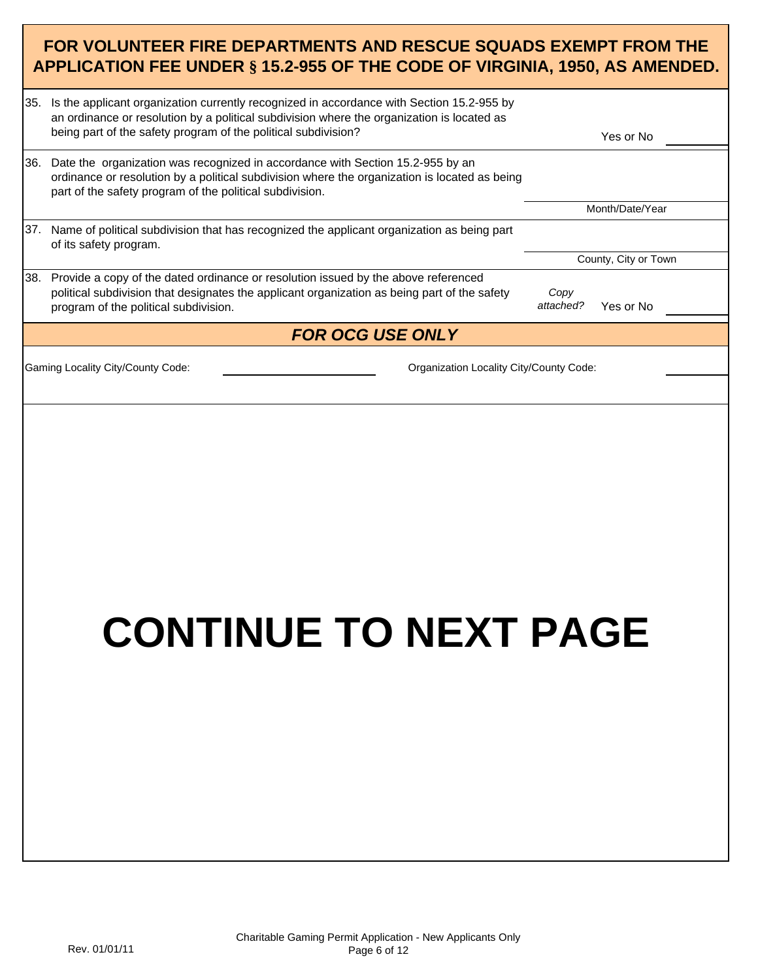### **FOR VOLUNTEER FIRE DEPARTMENTS AND RESCUE SQUADS EXEMPT FROM THE APPLICATION FEE UNDER § 15.2-955 OF THE CODE OF VIRGINIA, 1950, AS AMENDED.**

| 35.  | Is the applicant organization currently recognized in accordance with Section 15.2-955 by<br>an ordinance or resolution by a political subdivision where the organization is located as<br>being part of the safety program of the political subdivision? |                   | Yes or No            |
|------|-----------------------------------------------------------------------------------------------------------------------------------------------------------------------------------------------------------------------------------------------------------|-------------------|----------------------|
| 36.  | Date the organization was recognized in accordance with Section 15.2-955 by an<br>ordinance or resolution by a political subdivision where the organization is located as being<br>part of the safety program of the political subdivision.               |                   |                      |
|      |                                                                                                                                                                                                                                                           |                   | Month/Date/Year      |
| 37.  | Name of political subdivision that has recognized the applicant organization as being part<br>of its safety program.                                                                                                                                      |                   |                      |
|      |                                                                                                                                                                                                                                                           |                   | County, City or Town |
| I38. | Provide a copy of the dated ordinance or resolution issued by the above referenced<br>political subdivision that designates the applicant organization as being part of the safety<br>program of the political subdivision.                               | Copy<br>attached? | Yes or No            |
|      | <b>FOR OCG USE ONLY</b>                                                                                                                                                                                                                                   |                   |                      |
|      | Gaming Locality City/County Code:<br>Organization Locality City/County Code:                                                                                                                                                                              |                   |                      |
|      |                                                                                                                                                                                                                                                           |                   |                      |
|      |                                                                                                                                                                                                                                                           |                   |                      |

# **CONTINUE TO NEXT PAGE**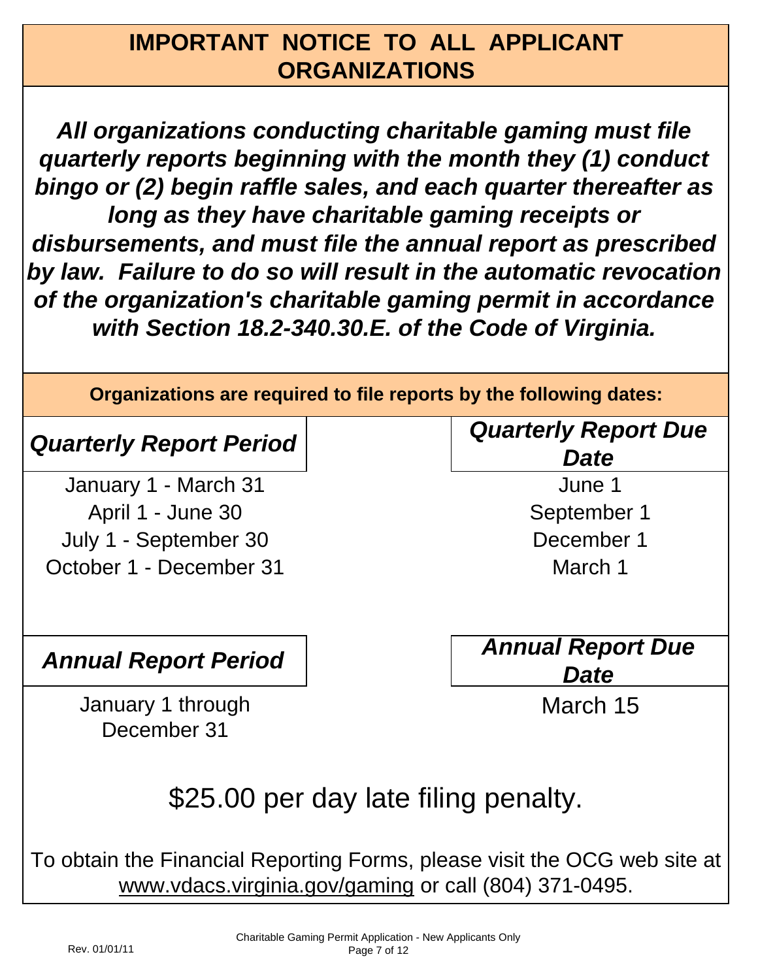## **IMPORTANT NOTICE TO ALL APPLICANT ORGANIZATIONS**

*All organizations conducting charitable gaming must file quarterly reports beginning with the month they (1) conduct bingo or (2) begin raffle sales, and each quarter thereafter as long as they have charitable gaming receipts or disbursements, and must file the annual report as prescribed by law. Failure to do so will result in the automatic revocation of the organization's charitable gaming permit in accordance with Section 18.2-340.30.E. of the Code of Virginia.*

**Organizations are required to file reports by the following dates:**

July 1 - September 30 January 1 - March 31 April 1 - June 30 October 1 - December 31

## *Quarterly Report Period Quarterly Report Due Date*

September 1 June 1

December 1

March 1

*Annual Report Period Annual Report Due Date*

March 15

January 1 through December 31

\$25.00 per day late filing penalty.

To obtain the Financial Reporting Forms, please visit the OCG web site at www.vdacs.virginia.gov/gaming or call (804) 371-0495.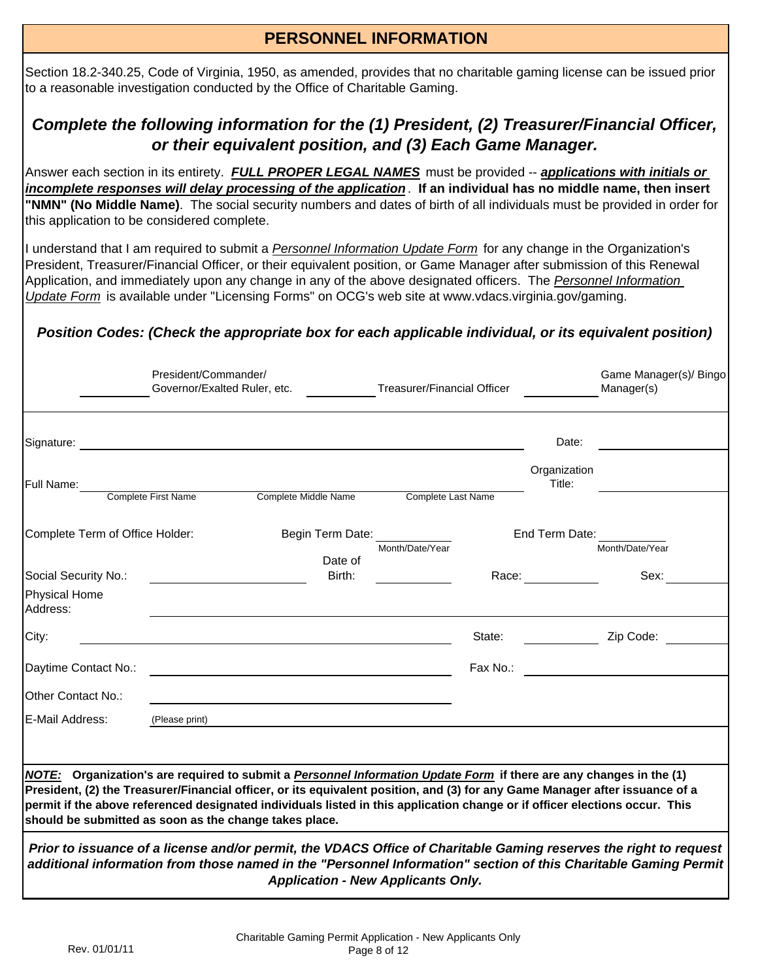# **PERSONNEL INFORMATION**

Section 18.2-340.25, Code of Virginia, 1950, as amended, provides that no charitable gaming license can be issued prior to a reasonable investigation conducted by the Office of Charitable Gaming.

### *Complete the following information for the (1) President, (2) Treasurer/Financial Officer, or their equivalent position, and (3) Each Game Manager.*

Answer each section in its entirety. *FULL PROPER LEGAL NAMES* must be provided -- *applications with initials or incomplete responses will delay processing of the application*. **If an individual has no middle name, then insert "NMN" (No Middle Name)**. The social security numbers and dates of birth of all individuals must be provided in order for this application to be considered complete.

I understand that I am required to submit a *Personnel Information Update Form* for any change in the Organization's President, Treasurer/Financial Officer, or their equivalent position, or Game Manager after submission of this Renewal Application, and immediately upon any change in any of the above designated officers. The *Personnel Information Update Form* is available under "Licensing Forms" on OCG's web site at www.vdacs.virginia.gov/gaming.

### *Position Codes: (Check the appropriate box for each applicable individual, or its equivalent position)*

|                                                                                                                                                                                                                                                                                                                                                                                                                                              | President/Commander/<br>Governor/Exalted Ruler, etc. |                                           | <b>Treasurer/Financial Officer</b> |            | Game Manager(s)/ Bingo<br>Manager(s)                                                                                                                                                                                                 |  |  |
|----------------------------------------------------------------------------------------------------------------------------------------------------------------------------------------------------------------------------------------------------------------------------------------------------------------------------------------------------------------------------------------------------------------------------------------------|------------------------------------------------------|-------------------------------------------|------------------------------------|------------|--------------------------------------------------------------------------------------------------------------------------------------------------------------------------------------------------------------------------------------|--|--|
| Signature:                                                                                                                                                                                                                                                                                                                                                                                                                                   |                                                      |                                           |                                    |            | Date:                                                                                                                                                                                                                                |  |  |
| Full Name:                                                                                                                                                                                                                                                                                                                                                                                                                                   | Complete First Name                                  | Complete Middle Name                      | Complete Last Name                 |            | Organization<br>Title:                                                                                                                                                                                                               |  |  |
| Complete Term of Office Holder:<br>Social Security No.:                                                                                                                                                                                                                                                                                                                                                                                      |                                                      | Begin Term Date:<br>Date of<br>Birth:     | Month/Date/Year                    | Race: 2008 | End Term Date:<br>Month/Date/Year<br>Sex:                                                                                                                                                                                            |  |  |
| <b>Physical Home</b><br>Address:<br>City:                                                                                                                                                                                                                                                                                                                                                                                                    |                                                      |                                           |                                    | State:     | Zip Code:                                                                                                                                                                                                                            |  |  |
| Daytime Contact No.:                                                                                                                                                                                                                                                                                                                                                                                                                         |                                                      |                                           |                                    | Fax No.:   |                                                                                                                                                                                                                                      |  |  |
| Other Contact No.:<br>E-Mail Address:                                                                                                                                                                                                                                                                                                                                                                                                        | (Please print)                                       |                                           |                                    |            |                                                                                                                                                                                                                                      |  |  |
| NOTE: Organization's are required to submit a Personnel Information Update Form if there are any changes in the (1)<br>President, (2) the Treasurer/Financial officer, or its equivalent position, and (3) for any Game Manager after issuance of a<br>permit if the above referenced designated individuals listed in this application change or if officer elections occur. This<br>should be submitted as soon as the change takes place. |                                                      |                                           |                                    |            |                                                                                                                                                                                                                                      |  |  |
|                                                                                                                                                                                                                                                                                                                                                                                                                                              |                                                      | <b>Application - New Applicants Only.</b> |                                    |            | Prior to issuance of a license and/or permit, the VDACS Office of Charitable Gaming reserves the right to request<br>additional information from those named in the "Personnel Information" section of this Charitable Gaming Permit |  |  |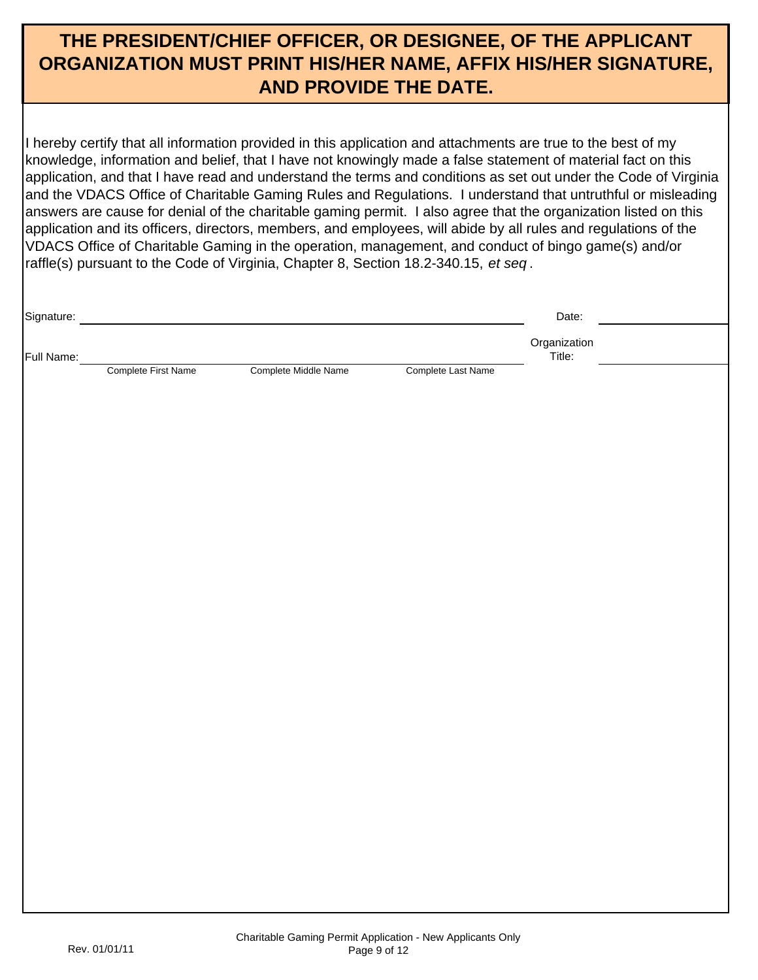### **THE PRESIDENT/CHIEF OFFICER, OR DESIGNEE, OF THE APPLICANT ORGANIZATION MUST PRINT HIS/HER NAME, AFFIX HIS/HER SIGNATURE, AND PROVIDE THE DATE.**

I hereby certify that all information provided in this application and attachments are true to the best of my knowledge, information and belief, that I have not knowingly made a false statement of material fact on this application, and that I have read and understand the terms and conditions as set out under the Code of Virginia and the VDACS Office of Charitable Gaming Rules and Regulations. I understand that untruthful or misleading answers are cause for denial of the charitable gaming permit. I also agree that the organization listed on this application and its officers, directors, members, and employees, will abide by all rules and regulations of the VDACS Office of Charitable Gaming in the operation, management, and conduct of bingo game(s) and/or raffle(s) pursuant to the Code of Virginia, Chapter 8, Section 18.2-340.15, *et seq* .

| Signature: |                     |                      |                    | Date:                  |  |
|------------|---------------------|----------------------|--------------------|------------------------|--|
| Full Name: |                     |                      |                    | Organization<br>Title: |  |
|            | Complete First Name | Complete Middle Name | Complete Last Name |                        |  |
|            |                     |                      |                    |                        |  |
|            |                     |                      |                    |                        |  |
|            |                     |                      |                    |                        |  |
|            |                     |                      |                    |                        |  |
|            |                     |                      |                    |                        |  |
|            |                     |                      |                    |                        |  |
|            |                     |                      |                    |                        |  |
|            |                     |                      |                    |                        |  |
|            |                     |                      |                    |                        |  |
|            |                     |                      |                    |                        |  |
|            |                     |                      |                    |                        |  |
|            |                     |                      |                    |                        |  |
|            |                     |                      |                    |                        |  |
|            |                     |                      |                    |                        |  |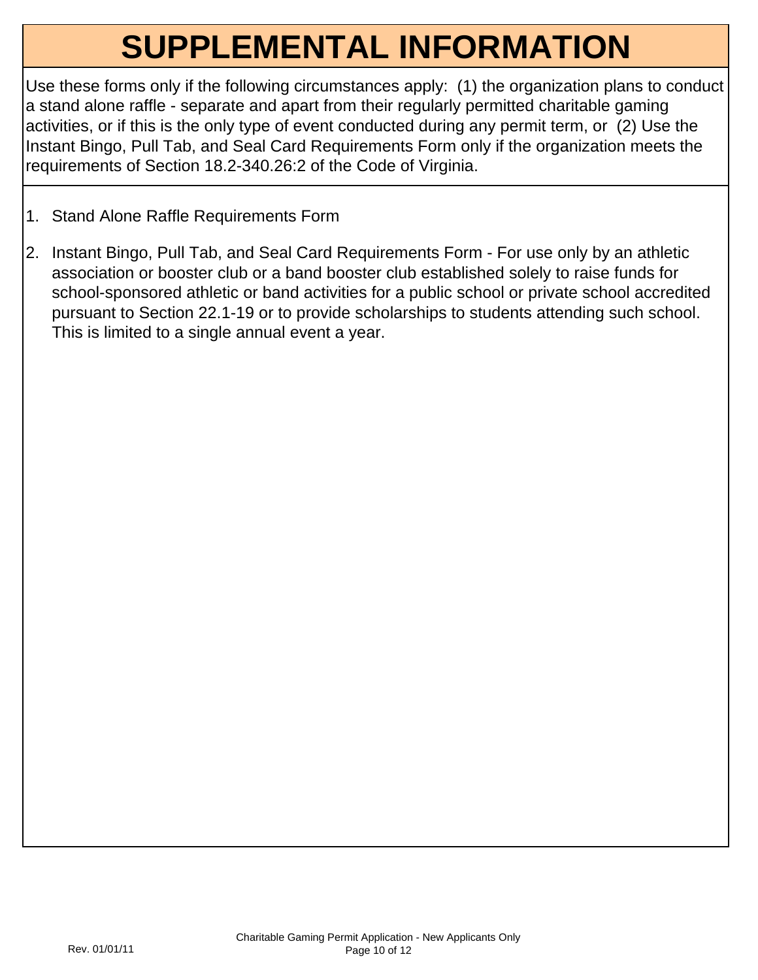## **SUPPLEMENTAL INFORMATION**

Use these forms only if the following circumstances apply: (1) the organization plans to conduct a stand alone raffle - separate and apart from their regularly permitted charitable gaming activities, or if this is the only type of event conducted during any permit term, or (2) Use the Instant Bingo, Pull Tab, and Seal Card Requirements Form only if the organization meets the requirements of Section 18.2-340.26:2 of the Code of Virginia.

- 1. Stand Alone Raffle Requirements Form
- 2. Instant Bingo, Pull Tab, and Seal Card Requirements Form For use only by an athletic association or booster club or a band booster club established solely to raise funds for school-sponsored athletic or band activities for a public school or private school accredited pursuant to Section 22.1-19 or to provide scholarships to students attending such school. This is limited to a single annual event a year.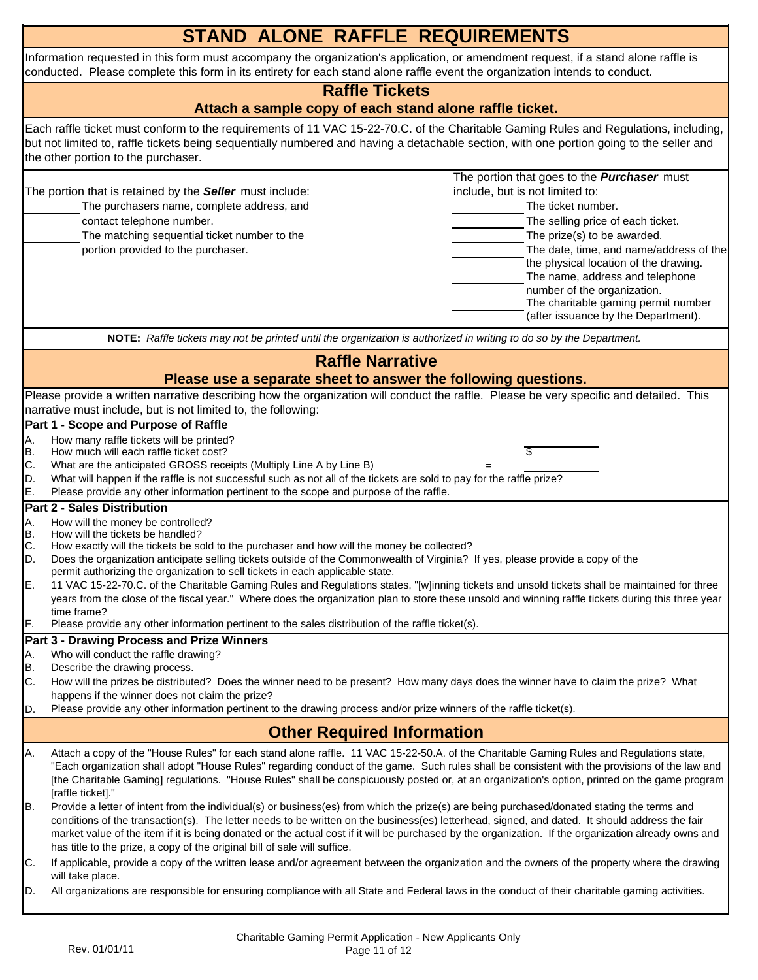|                                  | <b>STAND ALONE RAFFLE REQUIREMENTS</b>                                                                                                                                                                                                                                                                                                                                                                                                                                                                                                                                                                                                                                                                                                                                                                                                                  |  |  |  |  |  |  |  |
|----------------------------------|---------------------------------------------------------------------------------------------------------------------------------------------------------------------------------------------------------------------------------------------------------------------------------------------------------------------------------------------------------------------------------------------------------------------------------------------------------------------------------------------------------------------------------------------------------------------------------------------------------------------------------------------------------------------------------------------------------------------------------------------------------------------------------------------------------------------------------------------------------|--|--|--|--|--|--|--|
|                                  | Information requested in this form must accompany the organization's application, or amendment request, if a stand alone raffle is<br>conducted. Please complete this form in its entirety for each stand alone raffle event the organization intends to conduct.                                                                                                                                                                                                                                                                                                                                                                                                                                                                                                                                                                                       |  |  |  |  |  |  |  |
|                                  | <b>Raffle Tickets</b>                                                                                                                                                                                                                                                                                                                                                                                                                                                                                                                                                                                                                                                                                                                                                                                                                                   |  |  |  |  |  |  |  |
|                                  | Attach a sample copy of each stand alone raffle ticket.                                                                                                                                                                                                                                                                                                                                                                                                                                                                                                                                                                                                                                                                                                                                                                                                 |  |  |  |  |  |  |  |
|                                  | Each raffle ticket must conform to the requirements of 11 VAC 15-22-70.C. of the Charitable Gaming Rules and Regulations, including,<br>but not limited to, raffle tickets being sequentially numbered and having a detachable section, with one portion going to the seller and<br>the other portion to the purchaser.                                                                                                                                                                                                                                                                                                                                                                                                                                                                                                                                 |  |  |  |  |  |  |  |
|                                  | The portion that goes to the <b>Purchaser</b> must<br>include, but is not limited to:<br>The portion that is retained by the Seller must include:<br>The purchasers name, complete address, and<br>The ticket number.<br>contact telephone number.<br>The selling price of each ticket.<br>The prize(s) to be awarded.<br>The matching sequential ticket number to the<br>The date, time, and name/address of the<br>portion provided to the purchaser.<br>the physical location of the drawing.<br>The name, address and telephone<br>number of the organization.<br>The charitable gaming permit number<br>(after issuance by the Department).                                                                                                                                                                                                        |  |  |  |  |  |  |  |
|                                  | NOTE: Raffle tickets may not be printed until the organization is authorized in writing to do so by the Department.                                                                                                                                                                                                                                                                                                                                                                                                                                                                                                                                                                                                                                                                                                                                     |  |  |  |  |  |  |  |
|                                  | <b>Raffle Narrative</b>                                                                                                                                                                                                                                                                                                                                                                                                                                                                                                                                                                                                                                                                                                                                                                                                                                 |  |  |  |  |  |  |  |
|                                  | Please use a separate sheet to answer the following questions.                                                                                                                                                                                                                                                                                                                                                                                                                                                                                                                                                                                                                                                                                                                                                                                          |  |  |  |  |  |  |  |
|                                  | Please provide a written narrative describing how the organization will conduct the raffle. Please be very specific and detailed. This                                                                                                                                                                                                                                                                                                                                                                                                                                                                                                                                                                                                                                                                                                                  |  |  |  |  |  |  |  |
|                                  | narrative must include, but is not limited to, the following:                                                                                                                                                                                                                                                                                                                                                                                                                                                                                                                                                                                                                                                                                                                                                                                           |  |  |  |  |  |  |  |
| Α.<br>B.<br>C.<br>D.<br>E.       | Part 1 - Scope and Purpose of Raffle<br>How many raffle tickets will be printed?<br>How much will each raffle ticket cost?<br>What are the anticipated GROSS receipts (Multiply Line A by Line B)<br>What will happen if the raffle is not successful such as not all of the tickets are sold to pay for the raffle prize?<br>Please provide any other information pertinent to the scope and purpose of the raffle.                                                                                                                                                                                                                                                                                                                                                                                                                                    |  |  |  |  |  |  |  |
| А.<br>B.<br>C.<br>D.<br>E.<br>F. | <b>Part 2 - Sales Distribution</b><br>How will the money be controlled?<br>How will the tickets be handled?<br>How exactly will the tickets be sold to the purchaser and how will the money be collected?<br>Does the organization anticipate selling tickets outside of the Commonwealth of Virginia? If yes, please provide a copy of the<br>permit authorizing the organization to sell tickets in each applicable state.<br>11 VAC 15-22-70.C. of the Charitable Gaming Rules and Regulations states, "[w]inning tickets and unsold tickets shall be maintained for three<br>years from the close of the fiscal year." Where does the organization plan to store these unsold and winning raffle tickets during this three year<br>time frame?<br>Please provide any other information pertinent to the sales distribution of the raffle ticket(s). |  |  |  |  |  |  |  |
|                                  | <b>Part 3 - Drawing Process and Prize Winners</b>                                                                                                                                                                                                                                                                                                                                                                                                                                                                                                                                                                                                                                                                                                                                                                                                       |  |  |  |  |  |  |  |
| A.<br>B.<br>C.<br>ID.            | Who will conduct the raffle drawing?<br>Describe the drawing process.<br>How will the prizes be distributed? Does the winner need to be present? How many days does the winner have to claim the prize? What<br>happens if the winner does not claim the prize?<br>Please provide any other information pertinent to the drawing process and/or prize winners of the raffle ticket(s).                                                                                                                                                                                                                                                                                                                                                                                                                                                                  |  |  |  |  |  |  |  |
|                                  | <b>Other Required Information</b>                                                                                                                                                                                                                                                                                                                                                                                                                                                                                                                                                                                                                                                                                                                                                                                                                       |  |  |  |  |  |  |  |
| Α.                               | Attach a copy of the "House Rules" for each stand alone raffle. 11 VAC 15-22-50.A. of the Charitable Gaming Rules and Regulations state,<br>"Each organization shall adopt "House Rules" regarding conduct of the game. Such rules shall be consistent with the provisions of the law and<br>[the Charitable Gaming] regulations. "House Rules" shall be conspicuously posted or, at an organization's option, printed on the game program<br>[raffle ticket]."                                                                                                                                                                                                                                                                                                                                                                                         |  |  |  |  |  |  |  |
| IB.                              | Provide a letter of intent from the individual(s) or business(es) from which the prize(s) are being purchased/donated stating the terms and<br>conditions of the transaction(s). The letter needs to be written on the business(es) letterhead, signed, and dated. It should address the fair<br>market value of the item if it is being donated or the actual cost if it will be purchased by the organization. If the organization already owns and<br>has title to the prize, a copy of the original bill of sale will suffice.                                                                                                                                                                                                                                                                                                                      |  |  |  |  |  |  |  |
| IC.<br>D.                        | If applicable, provide a copy of the written lease and/or agreement between the organization and the owners of the property where the drawing<br>will take place.<br>All organizations are responsible for ensuring compliance with all State and Federal laws in the conduct of their charitable gaming activities.                                                                                                                                                                                                                                                                                                                                                                                                                                                                                                                                    |  |  |  |  |  |  |  |